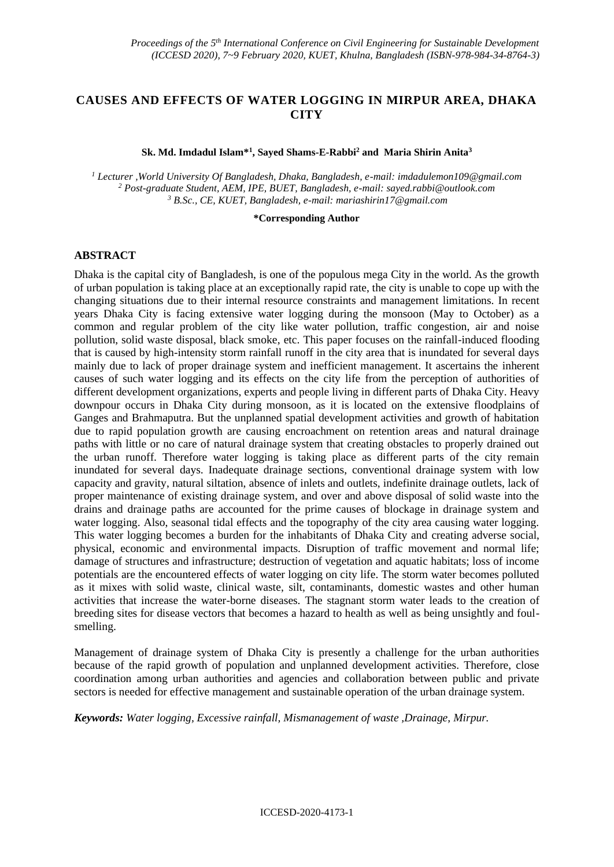# **CAUSES AND EFFECTS OF WATER LOGGING IN MIRPUR AREA, DHAKA CITY**

#### **Sk. Md. Imdadul Islam\*<sup>1</sup> , Sayed Shams-E-Rabbi<sup>2</sup> and Maria Shirin Anita<sup>3</sup>**

*<sup>1</sup> Lecturer ,World University Of Bangladesh, Dhaka, Bangladesh, e-mail: [imdadulemon109@gmail.com](file:///C:/Users/Emon/AppData/Roaming/Microsoft/Word/imdadulemon109@gmail.com) <sup>2</sup> Post-graduate Student, AEM, IPE, BUET, Bangladesh, e-mail: [sayed.rabbi@outlook.com](mailto:sayed.rabbi@outlook.com) <sup>3</sup> B.Sc., CE, KUET, Bangladesh, e-mail: [mariashirin17@gmail.com](mailto:mariashirin17@gmail.com)*

#### **\*Corresponding Author**

## **ABSTRACT**

Dhaka is the capital city of Bangladesh, is one of the populous mega City in the world. As the growth of urban population is taking place at an exceptionally rapid rate, the city is unable to cope up with the changing situations due to their internal resource constraints and management limitations. In recent years Dhaka City is facing extensive water logging during the monsoon (May to October) as a common and regular problem of the city like water pollution, traffic congestion, air and noise pollution, solid waste disposal, black smoke, etc. This paper focuses on the rainfall-induced flooding that is caused by high-intensity storm rainfall runoff in the city area that is inundated for several days mainly due to lack of proper drainage system and inefficient management. It ascertains the inherent causes of such water logging and its effects on the city life from the perception of authorities of different development organizations, experts and people living in different parts of Dhaka City. Heavy downpour occurs in Dhaka City during monsoon, as it is located on the extensive floodplains of Ganges and Brahmaputra. But the unplanned spatial development activities and growth of habitation due to rapid population growth are causing encroachment on retention areas and natural drainage paths with little or no care of natural drainage system that creating obstacles to properly drained out the urban runoff. Therefore water logging is taking place as different parts of the city remain inundated for several days. Inadequate drainage sections, conventional drainage system with low capacity and gravity, natural siltation, absence of inlets and outlets, indefinite drainage outlets, lack of proper maintenance of existing drainage system, and over and above disposal of solid waste into the drains and drainage paths are accounted for the prime causes of blockage in drainage system and water logging. Also, seasonal tidal effects and the topography of the city area causing water logging. This water logging becomes a burden for the inhabitants of Dhaka City and creating adverse social, physical, economic and environmental impacts. Disruption of traffic movement and normal life; damage of structures and infrastructure; destruction of vegetation and aquatic habitats; loss of income potentials are the encountered effects of water logging on city life. The storm water becomes polluted as it mixes with solid waste, clinical waste, silt, contaminants, domestic wastes and other human activities that increase the water-borne diseases. The stagnant storm water leads to the creation of breeding sites for disease vectors that becomes a hazard to health as well as being unsightly and foulsmelling.

Management of drainage system of Dhaka City is presently a challenge for the urban authorities because of the rapid growth of population and unplanned development activities. Therefore, close coordination among urban authorities and agencies and collaboration between public and private sectors is needed for effective management and sustainable operation of the urban drainage system.

*Keywords: Water logging, Excessive rainfall, Mismanagement of waste ,Drainage, Mirpur.*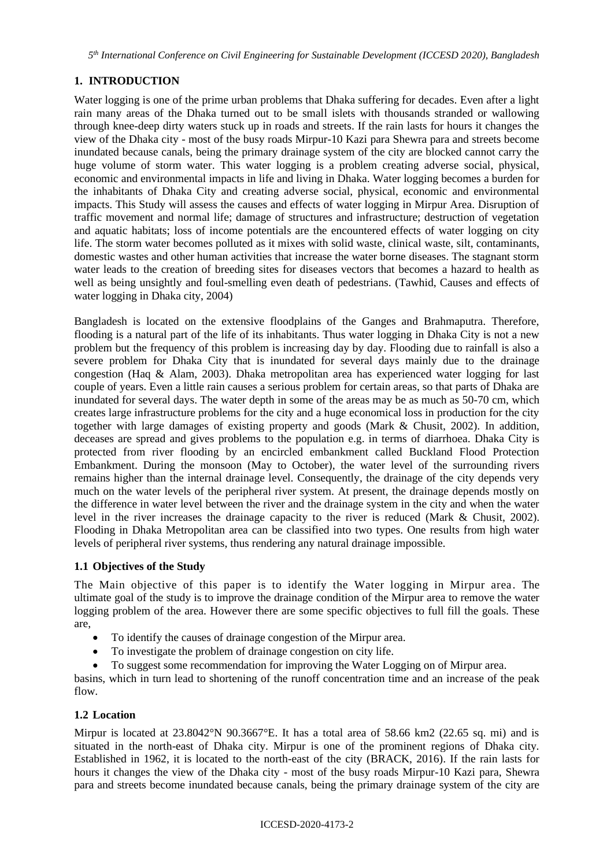*5 th International Conference on Civil Engineering for Sustainable Development (ICCESD 2020), Bangladesh*

# **1. INTRODUCTION**

Water logging is one of the prime urban problems that Dhaka suffering for decades. Even after a light rain many areas of the Dhaka turned out to be small islets with thousands stranded or wallowing through knee-deep dirty waters stuck up in roads and streets. If the rain lasts for hours it changes the view of the Dhaka city - most of the busy roads Mirpur-10 Kazi para Shewra para and streets become inundated because canals, being the primary drainage system of the city are blocked cannot carry the huge volume of storm water. This water logging is a problem creating adverse social, physical, economic and environmental impacts in life and living in Dhaka. Water logging becomes a burden for the inhabitants of Dhaka City and creating adverse social, physical, economic and environmental impacts. This Study will assess the causes and effects of water logging in Mirpur Area. Disruption of traffic movement and normal life; damage of structures and infrastructure; destruction of vegetation and aquatic habitats; loss of income potentials are the encountered effects of water logging on city life. The storm water becomes polluted as it mixes with solid waste, clinical waste, silt, contaminants, domestic wastes and other human activities that increase the water borne diseases. The stagnant storm water leads to the creation of breeding sites for diseases vectors that becomes a hazard to health as well as being unsightly and foul-smelling even death of pedestrians. (Tawhid, Causes and effects of water logging in Dhaka city, 2004)

Bangladesh is located on the extensive floodplains of the Ganges and Brahmaputra. Therefore, flooding is a natural part of the life of its inhabitants. Thus water logging in Dhaka City is not a new problem but the frequency of this problem is increasing day by day. Flooding due to rainfall is also a severe problem for Dhaka City that is inundated for several days mainly due to the drainage congestion (Haq & Alam, 2003). Dhaka metropolitan area has experienced water logging for last couple of years. Even a little rain causes a serious problem for certain areas, so that parts of Dhaka are inundated for several days. The water depth in some of the areas may be as much as 50-70 cm, which creates large infrastructure problems for the city and a huge economical loss in production for the city together with large damages of existing property and goods (Mark & Chusit, 2002). In addition, deceases are spread and gives problems to the population e.g. in terms of diarrhoea. Dhaka City is protected from river flooding by an encircled embankment called Buckland Flood Protection Embankment. During the monsoon (May to October), the water level of the surrounding rivers remains higher than the internal drainage level. Consequently, the drainage of the city depends very much on the water levels of the peripheral river system. At present, the drainage depends mostly on the difference in water level between the river and the drainage system in the city and when the water level in the river increases the drainage capacity to the river is reduced (Mark & Chusit, 2002). Flooding in Dhaka Metropolitan area can be classified into two types. One results from high water levels of peripheral river systems, thus rendering any natural drainage impossible.

# **1.1 Objectives of the Study**

The Main objective of this paper is to identify the Water logging in Mirpur area. The ultimate goal of the study is to improve the drainage condition of the Mirpur area to remove the water logging problem of the area. However there are some specific objectives to full fill the goals. These are,

- To identify the causes of drainage congestion of the Mirpur area.
- To investigate the problem of drainage congestion on city life.
- To suggest some recommendation for improving the Water Logging on of Mirpur area.

basins, which in turn lead to shortening of the runoff concentration time and an increase of the peak flow.

# **1.2 Location**

Mirpur is located at  $23.8042^{\circ}$ N  $90.3667^{\circ}$ E. It has a total area of 58.66 km2 (22.65 sq. mi) and is situated in the north-east of Dhaka city. Mirpur is one of the prominent regions of Dhaka city. Established in 1962, it is located to the north-east of the city (BRACK, 2016). If the rain lasts for hours it changes the view of the Dhaka city - most of the busy roads Mirpur-10 Kazi para, Shewra para and streets become inundated because canals, being the primary drainage system of the city are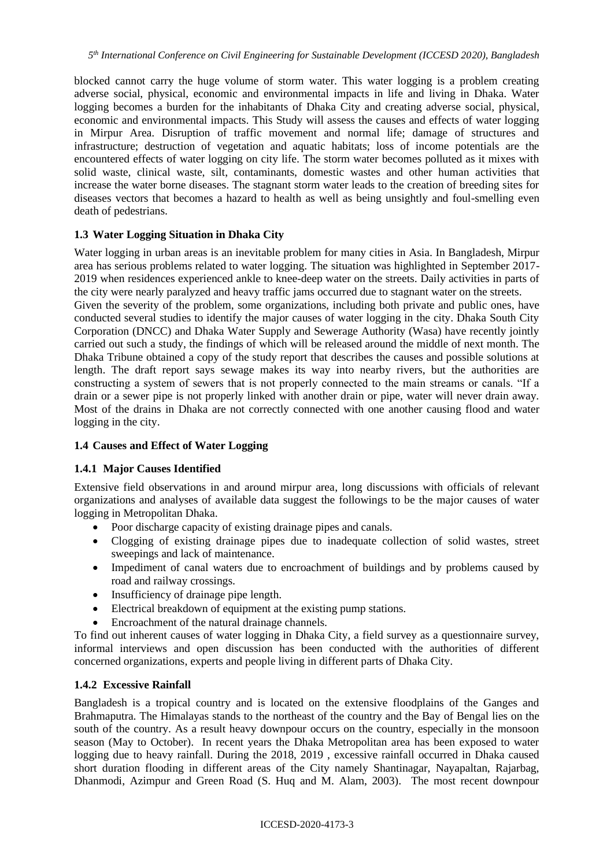blocked cannot carry the huge volume of storm water. This water logging is a problem creating adverse social, physical, economic and environmental impacts in life and living in Dhaka. Water logging becomes a burden for the inhabitants of Dhaka City and creating adverse social, physical, economic and environmental impacts. This Study will assess the causes and effects of water logging in Mirpur Area. Disruption of traffic movement and normal life; damage of structures and infrastructure; destruction of vegetation and aquatic habitats; loss of income potentials are the encountered effects of water logging on city life. The storm water becomes polluted as it mixes with solid waste, clinical waste, silt, contaminants, domestic wastes and other human activities that increase the water borne diseases. The stagnant storm water leads to the creation of breeding sites for diseases vectors that becomes a hazard to health as well as being unsightly and foul-smelling even death of pedestrians.

# **1.3 Water Logging Situation in Dhaka City**

Water logging in urban areas is an inevitable problem for many cities in Asia. In Bangladesh, Mirpur area has serious problems related to water logging. The situation was highlighted in September 2017- 2019 when residences experienced ankle to knee-deep water on the streets. Daily activities in parts of the city were nearly paralyzed and heavy traffic jams occurred due to stagnant water on the streets.

Given the severity of the problem, some organizations, including both private and public ones, have conducted several studies to identify the major causes of water logging in the city. Dhaka South City Corporation (DNCC) and Dhaka Water Supply and Sewerage Authority (Wasa) have recently jointly carried out such a study, the findings of which will be released around the middle of next month. The Dhaka Tribune obtained a copy of the study report that describes the causes and possible solutions at length. The draft report says sewage makes its way into nearby rivers, but the authorities are constructing a system of sewers that is not properly connected to the main streams or canals. "If a drain or a sewer pipe is not properly linked with another drain or pipe, water will never drain away. Most of the drains in Dhaka are not correctly connected with one another causing flood and water logging in the city.

# **1.4 Causes and Effect of Water Logging**

## **1.4.1 Major Causes Identified**

Extensive field observations in and around mirpur area, long discussions with officials of relevant organizations and analyses of available data suggest the followings to be the major causes of water logging in Metropolitan Dhaka.

- Poor discharge capacity of existing drainage pipes and canals.
- Clogging of existing drainage pipes due to inadequate collection of solid wastes, street sweepings and lack of maintenance.
- Impediment of canal waters due to encroachment of buildings and by problems caused by road and railway crossings.
- Insufficiency of drainage pipe length.
- Electrical breakdown of equipment at the existing pump stations.
- Encroachment of the natural drainage channels.

To find out inherent causes of water logging in Dhaka City, a field survey as a questionnaire survey, informal interviews and open discussion has been conducted with the authorities of different concerned organizations, experts and people living in different parts of Dhaka City.

## **1.4.2 Excessive Rainfall**

Bangladesh is a tropical country and is located on the extensive floodplains of the Ganges and Brahmaputra. The Himalayas stands to the northeast of the country and the Bay of Bengal lies on the south of the country. As a result heavy downpour occurs on the country, especially in the monsoon season (May to October). In recent years the Dhaka Metropolitan area has been exposed to water logging due to heavy rainfall. During the 2018, 2019 , excessive rainfall occurred in Dhaka caused short duration flooding in different areas of the City namely Shantinagar, Nayapaltan, Rajarbag, Dhanmodi, Azimpur and Green Road (S. Huq and M. Alam, 2003). The most recent downpour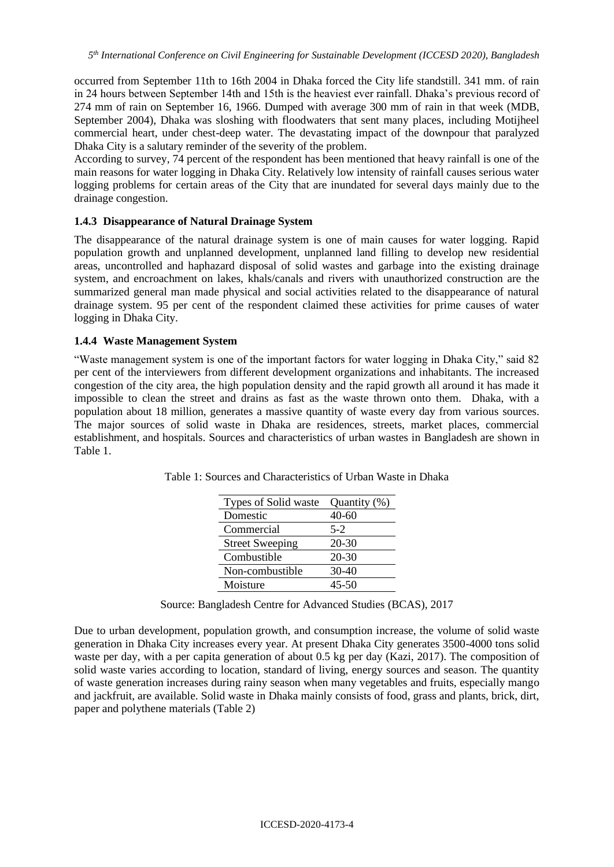occurred from September 11th to 16th 2004 in Dhaka forced the City life standstill. 341 mm. of rain in 24 hours between September 14th and 15th is the heaviest ever rainfall. Dhaka's previous record of 274 mm of rain on September 16, 1966. Dumped with average 300 mm of rain in that week (MDB, September 2004), Dhaka was sloshing with floodwaters that sent many places, including Motijheel commercial heart, under chest-deep water. The devastating impact of the downpour that paralyzed Dhaka City is a salutary reminder of the severity of the problem.

According to survey, 74 percent of the respondent has been mentioned that heavy rainfall is one of the main reasons for water logging in Dhaka City. Relatively low intensity of rainfall causes serious water logging problems for certain areas of the City that are inundated for several days mainly due to the drainage congestion.

#### **1.4.3 Disappearance of Natural Drainage System**

The disappearance of the natural drainage system is one of main causes for water logging. Rapid population growth and unplanned development, unplanned land filling to develop new residential areas, uncontrolled and haphazard disposal of solid wastes and garbage into the existing drainage system, and encroachment on lakes, khals/canals and rivers with unauthorized construction are the summarized general man made physical and social activities related to the disappearance of natural drainage system. 95 per cent of the respondent claimed these activities for prime causes of water logging in Dhaka City.

#### **1.4.4 Waste Management System**

"Waste management system is one of the important factors for water logging in Dhaka City," said 82 per cent of the interviewers from different development organizations and inhabitants. The increased congestion of the city area, the high population density and the rapid growth all around it has made it impossible to clean the street and drains as fast as the waste thrown onto them. Dhaka, with a population about 18 million, generates a massive quantity of waste every day from various sources. The major sources of solid waste in Dhaka are residences, streets, market places, commercial establishment, and hospitals. Sources and characteristics of urban wastes in Bangladesh are shown in Table 1.

| Types of Solid waste   | Quantity (%) |
|------------------------|--------------|
| Domestic               | 40-60        |
| Commercial             | $5-2$        |
| <b>Street Sweeping</b> | $20 - 30$    |
| Combustible            | $20 - 30$    |
| Non-combustible        | $30-40$      |
| Moisture               | $45 - 50$    |

Table 1: Sources and Characteristics of Urban Waste in Dhaka

Source: Bangladesh Centre for Advanced Studies (BCAS), 2017

Due to urban development, population growth, and consumption increase, the volume of solid waste generation in Dhaka City increases every year. At present Dhaka City generates 3500-4000 tons solid waste per day, with a per capita generation of about 0.5 kg per day (Kazi, 2017). The composition of solid waste varies according to location, standard of living, energy sources and season. The quantity of waste generation increases during rainy season when many vegetables and fruits, especially mango and jackfruit, are available. Solid waste in Dhaka mainly consists of food, grass and plants, brick, dirt, paper and polythene materials (Table 2)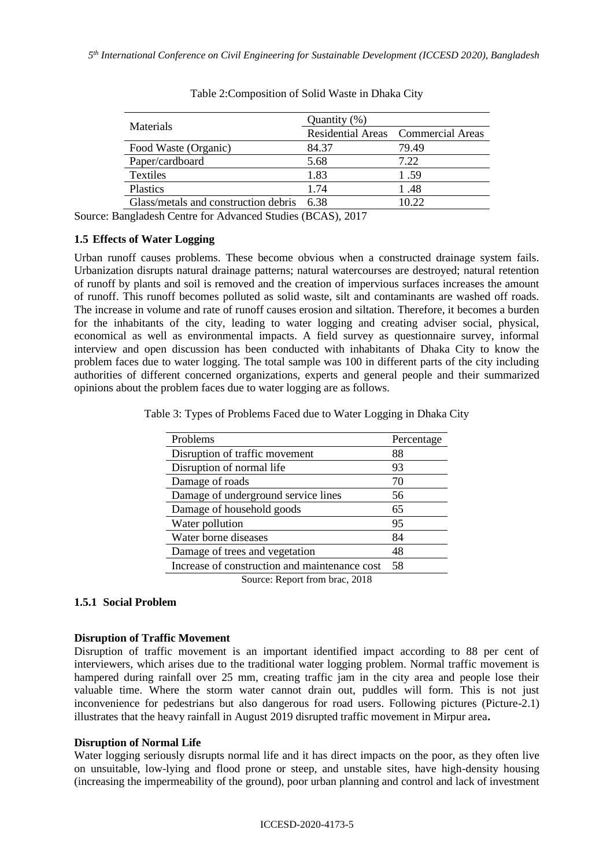|                                      | Quantity (%) |                                    |  |
|--------------------------------------|--------------|------------------------------------|--|
| <b>Materials</b>                     |              | Residential Areas Commercial Areas |  |
| Food Waste (Organic)                 | 84.37        | 79.49                              |  |
| Paper/cardboard                      | 5.68         | 7.22                               |  |
| Textiles                             | 1.83         | 1.59                               |  |
| Plastics                             | 1.74         | 1.48                               |  |
| Glass/metals and construction debris | 638          | 10.22                              |  |

Source: Bangladesh Centre for Advanced Studies (BCAS), 2017

#### **1.5 Effects of Water Logging**

Urban runoff causes problems. These become obvious when a constructed drainage system fails. Urbanization disrupts natural drainage patterns; natural watercourses are destroyed; natural retention of runoff by plants and soil is removed and the creation of impervious surfaces increases the amount of runoff. This runoff becomes polluted as solid waste, silt and contaminants are washed off roads. The increase in volume and rate of runoff causes erosion and siltation. Therefore, it becomes a burden for the inhabitants of the city, leading to water logging and creating adviser social, physical, economical as well as environmental impacts. A field survey as questionnaire survey, informal interview and open discussion has been conducted with inhabitants of Dhaka City to know the problem faces due to water logging. The total sample was 100 in different parts of the city including authorities of different concerned organizations, experts and general people and their summarized opinions about the problem faces due to water logging are as follows.

Table 3: Types of Problems Faced due to Water Logging in Dhaka City

| Problems                                      | Percentage |
|-----------------------------------------------|------------|
| Disruption of traffic movement                | 88         |
| Disruption of normal life                     | 93         |
| Damage of roads                               | 70         |
| Damage of underground service lines           | 56         |
| Damage of household goods                     | 65         |
| Water pollution                               | 95         |
| Water borne diseases                          | 84         |
| Damage of trees and vegetation                | 48         |
| Increase of construction and maintenance cost | 58         |
| Source: Report from brac, 2018                |            |

## **1.5.1 Social Problem**

## **Disruption of Traffic Movement**

Disruption of traffic movement is an important identified impact according to 88 per cent of interviewers, which arises due to the traditional water logging problem. Normal traffic movement is hampered during rainfall over 25 mm, creating traffic jam in the city area and people lose their valuable time. Where the storm water cannot drain out, puddles will form. This is not just inconvenience for pedestrians but also dangerous for road users. Following pictures (Picture-2.1) illustrates that the heavy rainfall in August 2019 disrupted traffic movement in Mirpur area**.**

#### **Disruption of Normal Life**

Water logging seriously disrupts normal life and it has direct impacts on the poor, as they often live on unsuitable, low-lying and flood prone or steep, and unstable sites, have high-density housing (increasing the impermeability of the ground), poor urban planning and control and lack of investment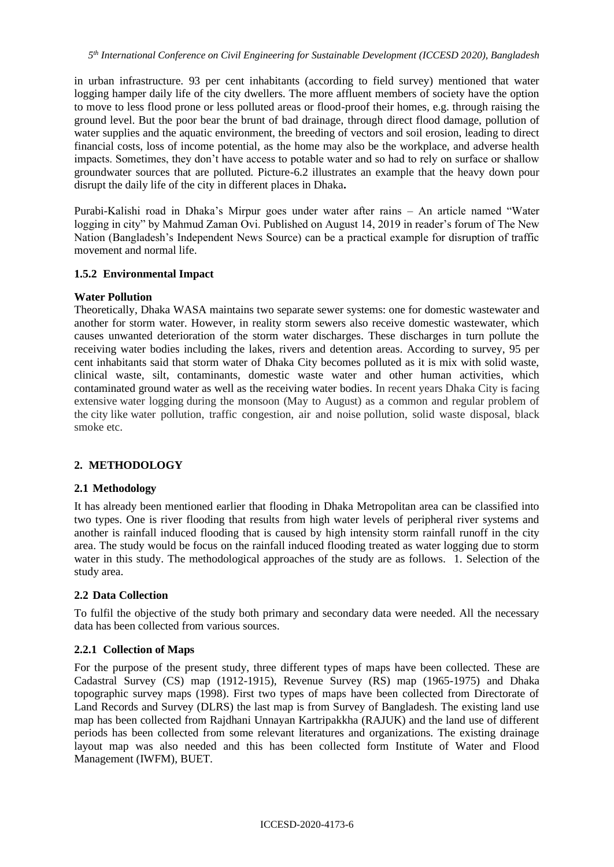in urban infrastructure. 93 per cent inhabitants (according to field survey) mentioned that water logging hamper daily life of the city dwellers. The more affluent members of society have the option to move to less flood prone or less polluted areas or flood-proof their homes, e.g. through raising the ground level. But the poor bear the brunt of bad drainage, through direct flood damage, pollution of water supplies and the aquatic environment, the breeding of vectors and soil erosion, leading to direct financial costs, loss of income potential, as the home may also be the workplace, and adverse health impacts. Sometimes, they don't have access to potable water and so had to rely on surface or shallow groundwater sources that are polluted. Picture-6.2 illustrates an example that the heavy down pour disrupt the daily life of the city in different places in Dhaka**.**

Purabi-Kalishi road in Dhaka's Mirpur goes under water after rains – An article named "Water logging in city" by Mahmud Zaman Ovi. Published on August 14, 2019 in reader's forum of The New Nation (Bangladesh's Independent News Source) can be a practical example for disruption of traffic movement and normal life.

# **1.5.2 Environmental Impact**

# **Water Pollution**

Theoretically, Dhaka WASA maintains two separate sewer systems: one for domestic wastewater and another for storm water. However, in reality storm sewers also receive domestic wastewater, which causes unwanted deterioration of the storm water discharges. These discharges in turn pollute the receiving water bodies including the lakes, rivers and detention areas. According to survey, 95 per cent inhabitants said that storm water of Dhaka City becomes polluted as it is mix with solid waste, clinical waste, silt, contaminants, domestic waste water and other human activities, which contaminated ground water as well as the receiving water bodies. In recent years Dhaka City is facing extensive water logging during the monsoon (May to August) as a common and regular problem of the city like water pollution, traffic congestion, air and noise pollution, solid waste disposal, black smoke etc.

# **2. METHODOLOGY**

# **2.1 Methodology**

It has already been mentioned earlier that flooding in Dhaka Metropolitan area can be classified into two types. One is river flooding that results from high water levels of peripheral river systems and another is rainfall induced flooding that is caused by high intensity storm rainfall runoff in the city area. The study would be focus on the rainfall induced flooding treated as water logging due to storm water in this study. The methodological approaches of the study are as follows. 1. Selection of the study area.

# **2.2 Data Collection**

To fulfil the objective of the study both primary and secondary data were needed. All the necessary data has been collected from various sources.

## **2.2.1 Collection of Maps**

For the purpose of the present study, three different types of maps have been collected. These are Cadastral Survey (CS) map (1912-1915), Revenue Survey (RS) map (1965-1975) and Dhaka topographic survey maps (1998). First two types of maps have been collected from Directorate of Land Records and Survey (DLRS) the last map is from Survey of Bangladesh. The existing land use map has been collected from Rajdhani Unnayan Kartripakkha (RAJUK) and the land use of different periods has been collected from some relevant literatures and organizations. The existing drainage layout map was also needed and this has been collected form Institute of Water and Flood Management (IWFM), BUET.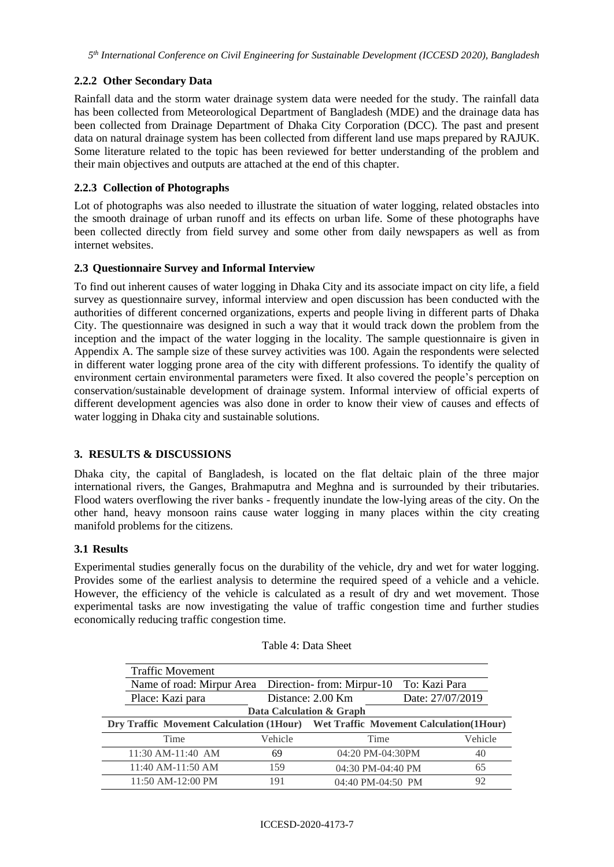# **2.2.2 Other Secondary Data**

Rainfall data and the storm water drainage system data were needed for the study. The rainfall data has been collected from Meteorological Department of Bangladesh (MDE) and the drainage data has been collected from Drainage Department of Dhaka City Corporation (DCC). The past and present data on natural drainage system has been collected from different land use maps prepared by RAJUK. Some literature related to the topic has been reviewed for better understanding of the problem and their main objectives and outputs are attached at the end of this chapter.

# **2.2.3 Collection of Photographs**

Lot of photographs was also needed to illustrate the situation of water logging, related obstacles into the smooth drainage of urban runoff and its effects on urban life. Some of these photographs have been collected directly from field survey and some other from daily newspapers as well as from internet websites.

# **2.3 Questionnaire Survey and Informal Interview**

To find out inherent causes of water logging in Dhaka City and its associate impact on city life, a field survey as questionnaire survey, informal interview and open discussion has been conducted with the authorities of different concerned organizations, experts and people living in different parts of Dhaka City. The questionnaire was designed in such a way that it would track down the problem from the inception and the impact of the water logging in the locality. The sample questionnaire is given in Appendix A. The sample size of these survey activities was 100. Again the respondents were selected in different water logging prone area of the city with different professions. To identify the quality of environment certain environmental parameters were fixed. It also covered the people's perception on conservation/sustainable development of drainage system. Informal interview of official experts of different development agencies was also done in order to know their view of causes and effects of water logging in Dhaka city and sustainable solutions.

## **3. RESULTS & DISCUSSIONS**

Dhaka city, the capital of Bangladesh, is located on the flat deltaic plain of the three major international rivers, the Ganges, Brahmaputra and Meghna and is surrounded by their tributaries. Flood waters overflowing the river banks - frequently inundate the low-lying areas of the city. On the other hand, heavy monsoon rains cause water logging in many places within the city creating manifold problems for the citizens.

## **3.1 Results**

Experimental studies generally focus on the durability of the vehicle, dry and wet for water logging. Provides some of the earliest analysis to determine the required speed of a vehicle and a vehicle. However, the efficiency of the vehicle is calculated as a result of dry and wet movement. Those experimental tasks are now investigating the value of traffic congestion time and further studies economically reducing traffic congestion time.

|                                                                                   | <b>Traffic Movement</b>                             |         |                          |                  |         |
|-----------------------------------------------------------------------------------|-----------------------------------------------------|---------|--------------------------|------------------|---------|
|                                                                                   | Name of road: Mirpur Area Direction-from: Mirpur-10 |         | To: Kazi Para            |                  |         |
|                                                                                   | Place: Kazi para                                    |         | Distance: 2.00 Km        | Date: 27/07/2019 |         |
|                                                                                   |                                                     |         | Data Calculation & Graph |                  |         |
| Dry Traffic Movement Calculation (1Hour) Wet Traffic Movement Calculation (1Hour) |                                                     |         |                          |                  |         |
|                                                                                   |                                                     |         |                          |                  |         |
|                                                                                   | Time                                                | Vehicle | Time                     |                  | Vehicle |
|                                                                                   | 11:30 AM-11:40 AM                                   | 69      | 04:20 PM-04:30PM         |                  | 40      |
|                                                                                   | 11:40 AM-11:50 AM                                   | 159     | 04:30 PM-04:40 PM        |                  | 65      |

Table 4: Data Sheet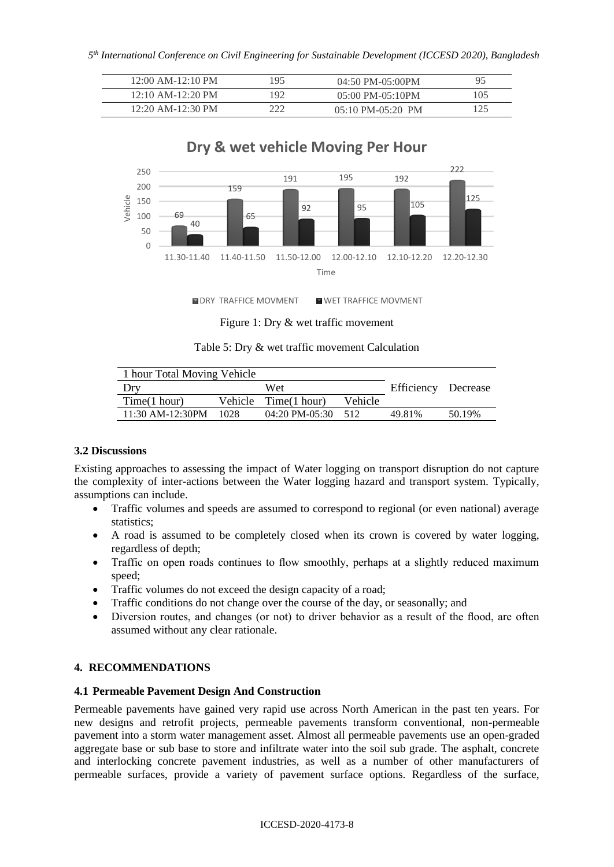| 12:00 AM-12:10 PM   | 195 | 04:50 PM-05:00PM                    |     |
|---------------------|-----|-------------------------------------|-----|
| $12:10$ AM-12:20 PM | 192 | $05:00$ PM- $05:10$ PM              | 105 |
| 12:20 AM-12:30 PM   | າາາ | $05:10 \text{ PM}-05:20 \text{ PM}$ |     |



**NDRY TRAFFICE MOVMENT WE WET TRAFFICE MOVMENT** 

Figure 1: Dry & wet traffic movement

Table 5: Dry & wet traffic movement Calculation

| 1 hour Total Moving Vehicle |      |                      |         |                     |        |
|-----------------------------|------|----------------------|---------|---------------------|--------|
| Dry                         |      | Wet                  |         | Efficiency Decrease |        |
| Time(1 hour)                |      | Vehicle Time(1 hour) | Vehicle |                     |        |
| $11:30$ AM-12:30PM          | 1028 | 04:20 PM-05:30       | -512    | 49.81%              | 50.19% |
|                             |      |                      |         |                     |        |

## **3.2 Discussions**

Existing approaches to assessing the impact of Water logging on transport disruption do not capture the complexity of inter-actions between the Water logging hazard and transport system. Typically, assumptions can include.

- Traffic volumes and speeds are assumed to correspond to regional (or even national) average statistics;
- A road is assumed to be completely closed when its crown is covered by water logging, regardless of depth;
- Traffic on open roads continues to flow smoothly, perhaps at a slightly reduced maximum speed;
- Traffic volumes do not exceed the design capacity of a road;
- Traffic conditions do not change over the course of the day, or seasonally; and
- Diversion routes, and changes (or not) to driver behavior as a result of the flood, are often assumed without any clear rationale.

## **4. RECOMMENDATIONS**

## **4.1 Permeable Pavement Design And Construction**

Permeable pavements have gained very rapid use across North American in the past ten years. For new designs and retrofit projects, permeable pavements transform conventional, non-permeable pavement into a storm water management asset. Almost all permeable pavements use an open-graded aggregate base or sub base to store and infiltrate water into the soil sub grade. The asphalt, concrete and interlocking concrete pavement industries, as well as a number of other manufacturers of permeable surfaces, provide a variety of pavement surface options. Regardless of the surface,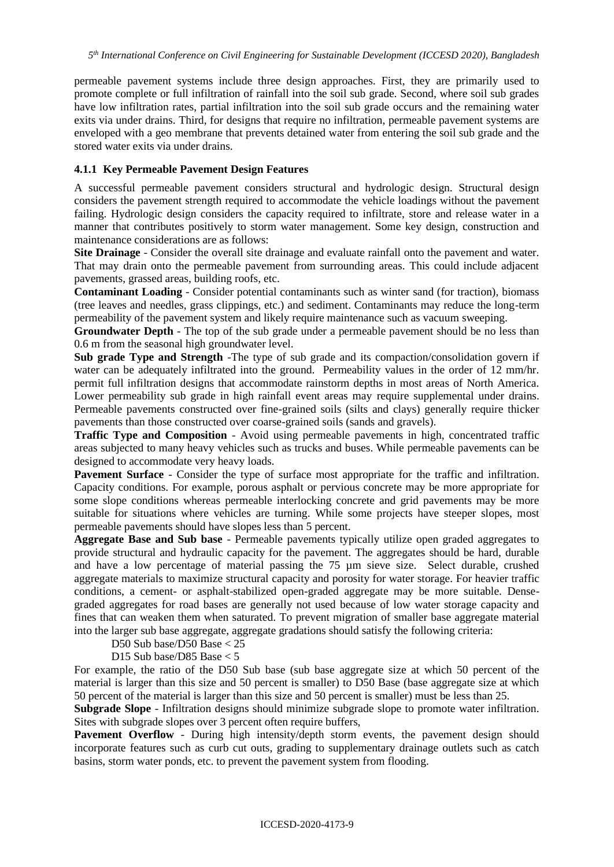permeable pavement systems include three design approaches. First, they are primarily used to promote complete or full infiltration of rainfall into the soil sub grade. Second, where soil sub grades have low infiltration rates, partial infiltration into the soil sub grade occurs and the remaining water exits via under drains. Third, for designs that require no infiltration, permeable pavement systems are enveloped with a geo membrane that prevents detained water from entering the soil sub grade and the stored water exits via under drains.

# **4.1.1 Key Permeable Pavement Design Features**

A successful permeable pavement considers structural and hydrologic design. Structural design considers the pavement strength required to accommodate the vehicle loadings without the pavement failing. Hydrologic design considers the capacity required to infiltrate, store and release water in a manner that contributes positively to storm water management. Some key design, construction and maintenance considerations are as follows:

**Site Drainage** - Consider the overall site drainage and evaluate rainfall onto the pavement and water. That may drain onto the permeable pavement from surrounding areas. This could include adjacent pavements, grassed areas, building roofs, etc.

**Contaminant Loading** - Consider potential contaminants such as winter sand (for traction), biomass (tree leaves and needles, grass clippings, etc.) and sediment. Contaminants may reduce the long-term permeability of the pavement system and likely require maintenance such as vacuum sweeping.

**Groundwater Depth** - The top of the sub grade under a permeable pavement should be no less than 0.6 m from the seasonal high groundwater level.

**Sub grade Type and Strength** -The type of sub grade and its compaction/consolidation govern if water can be adequately infiltrated into the ground. Permeability values in the order of 12 mm/hr. permit full infiltration designs that accommodate rainstorm depths in most areas of North America. Lower permeability sub grade in high rainfall event areas may require supplemental under drains. Permeable pavements constructed over fine-grained soils (silts and clays) generally require thicker pavements than those constructed over coarse-grained soils (sands and gravels).

**Traffic Type and Composition** - Avoid using permeable pavements in high, concentrated traffic areas subjected to many heavy vehicles such as trucks and buses. While permeable pavements can be designed to accommodate very heavy loads.

**Pavement Surface** - Consider the type of surface most appropriate for the traffic and infiltration. Capacity conditions. For example, porous asphalt or pervious concrete may be more appropriate for some slope conditions whereas permeable interlocking concrete and grid pavements may be more suitable for situations where vehicles are turning. While some projects have steeper slopes, most permeable pavements should have slopes less than 5 percent.

**Aggregate Base and Sub base** - Permeable pavements typically utilize open graded aggregates to provide structural and hydraulic capacity for the pavement. The aggregates should be hard, durable and have a low percentage of material passing the 75 µm sieve size. Select durable, crushed aggregate materials to maximize structural capacity and porosity for water storage. For heavier traffic conditions, a cement- or asphalt-stabilized open-graded aggregate may be more suitable. Densegraded aggregates for road bases are generally not used because of low water storage capacity and fines that can weaken them when saturated. To prevent migration of smaller base aggregate material into the larger sub base aggregate, aggregate gradations should satisfy the following criteria:

D50 Sub base/D50 Base < 25

D15 Sub base/D85 Base < 5

For example, the ratio of the D50 Sub base (sub base aggregate size at which 50 percent of the material is larger than this size and 50 percent is smaller) to D50 Base (base aggregate size at which 50 percent of the material is larger than this size and 50 percent is smaller) must be less than 25.

**Subgrade Slope** - Infiltration designs should minimize subgrade slope to promote water infiltration. Sites with subgrade slopes over 3 percent often require buffers,

Pavement Overflow - During high intensity/depth storm events, the pavement design should incorporate features such as curb cut outs, grading to supplementary drainage outlets such as catch basins, storm water ponds, etc. to prevent the pavement system from flooding.